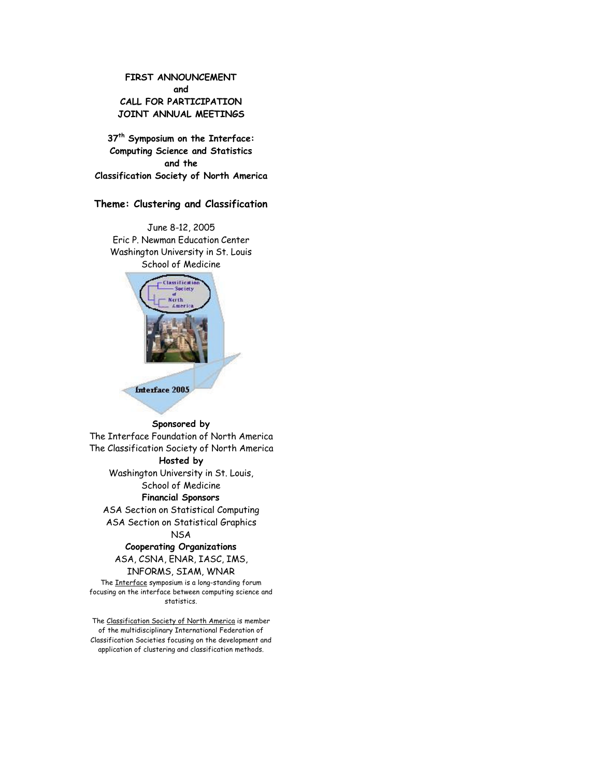**FIRST ANNOUNCEMENT and CALL FOR PARTICIPATION JOINT ANNUAL MEETINGS**

**37th Symposium on the Interface: Computing Science and Statistics and the Classification Society of North America**

# **Theme: Clustering and Classification**

June 8-12, 2005 Eric P. Newman Education Center Washington University in St. Louis School of Medicine



# **Sponsored by**

The Interface Foundation of North America The Classification Society of North America

# **Hosted by**

Washington University in St. Louis,

# School of Medicine **Financial Sponsors**

ASA Section on Statistical Computing ASA Section on Statistical Graphics

NSA

# **Cooperating Organizations** ASA, CSNA, ENAR, IASC, IMS, INFORMS, SIAM, WNAR

The Interface symposium is a long-standing forum focusing on the interface between computing science and statistics.

The Classification Society of North America is member of the multidisciplinary International Federation of Classification Societies focusing on the development and application of clustering and classification methods.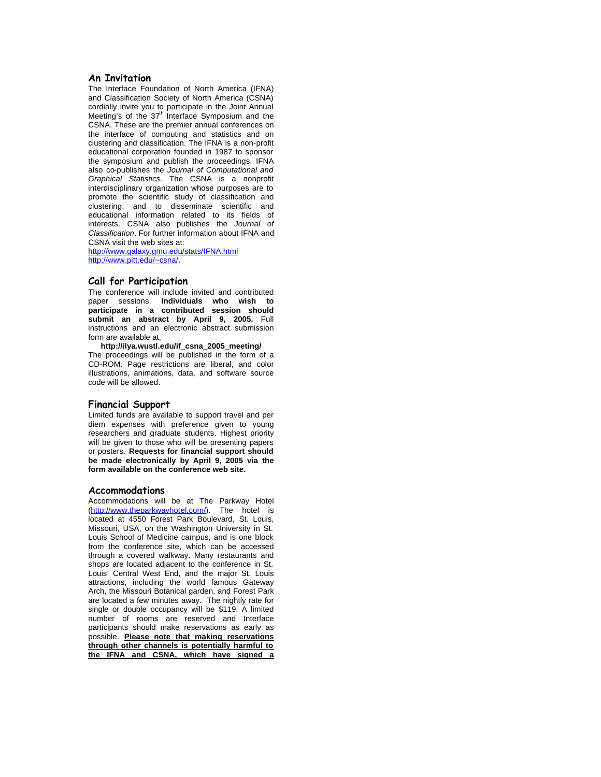## **An Invitation**

The Interface Foundation of North America (IFNA) and Classification Society of North America (CSNA) cordially invite you to participate in the Joint Annual Meeting's of the  $37<sup>th</sup>$  Interface Symposium and the CSNA. These are the premier annual conferences on the interface of computing and statistics and on clustering and classification. The IFNA is a non-profit educational corporation founded in 1987 to sponsor the symposium and publish the proceedings. IFNA also co-publishes the *Journal of Computational and Graphical Statistics*. The CSNA is a nonprofit interdisciplinary organization whose purposes are to promote the scientific study of classification and clustering, and to disseminate scientific and educational information related to its fields of interests. CSNA also publishes the *Journal of Classification*. For further information about IFNA and CSNA visit the web sites at:

http://www.galaxy.gmu.edu/stats/IFNA.html http://www.pitt.edu/~csna/.

## **Call for Participation**

The conference will include invited and contributed paper sessions. **Individuals who wish to participate in a contributed session should submit an abstract by April 9, 2005.** Full instructions and an electronic abstract submission form are available at,

**http://ilya.wustl.edu/if\_csna\_2005\_meeting/** The proceedings will be published in the form of a CD-ROM. Page restrictions are liberal, and color illustrations, animations, data, and software source code will be allowed.

## **Financial Support**

Limited funds are available to support travel and per diem expenses with preference given to young researchers and graduate students. Highest priority will be given to those who will be presenting papers or posters. **Requests for financial support should be made electronically by April 9, 2005 via the form available on the conference web site.**

#### **Accommodations**

Accommodations will be at The Parkway Hotel (http://www.theparkwayhotel.com/). The hotel is located at 4550 Forest Park Boulevard, St. Louis, Missouri, USA, on the Washington University in St. Louis School of Medicine campus, and is one block from the conference site, which can be accessed through a covered walkway. Many restaurants and shops are located adjacent to the conference in St. Louis' Central West End, and the major St. Louis attractions, including the world famous Gateway Arch, the Missouri Botanical garden, and Forest Park are located a few minutes away. The nightly rate for single or double occupancy will be \$119. A limited number of rooms are reserved and Interface participants should make reservations as early as possible. **Please note that making reservations through other channels is potentially harmful to the IFNA and CSNA, which have signed a**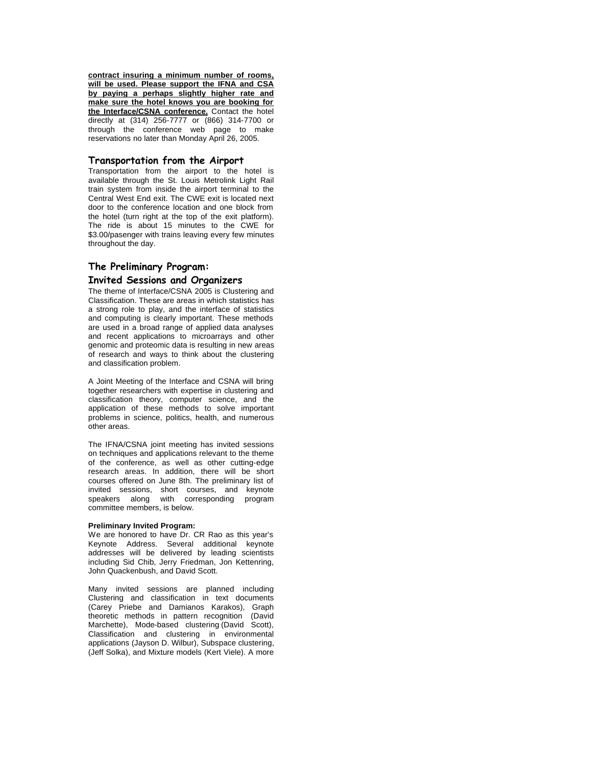**contract insuring a minimum number of rooms, will be used. Please support the IFNA and CSA by paying a perhaps slightly higher rate and make sure the hotel knows you are booking for the Interface/CSNA conference.** Contact the hotel directly at (314) 256-7777 or (866) 314-7700 or through the conference web page to make reservations no later than Monday April 26, 2005.

#### **Transportation from the Airport**

Transportation from the airport to the hotel is available through the St. Louis Metrolink Light Rail train system from inside the airport terminal to the Central West End exit. The CWE exit is located next door to the conference location and one block from the hotel (turn right at the top of the exit platform). The ride is about 15 minutes to the CWE for \$3.00/pasenger with trains leaving every few minutes throughout the day.

## **The Preliminary Program:**

## **Invited Sessions and Organizers**

The theme of Interface/CSNA 2005 is Clustering and Classification. These are areas in which statistics has a strong role to play, and the interface of statistics and computing is clearly important. These methods are used in a broad range of applied data analyses and recent applications to microarrays and other genomic and proteomic data is resulting in new areas of research and ways to think about the clustering and classification problem.

A Joint Meeting of the Interface and CSNA will bring together researchers with expertise in clustering and classification theory, computer science, and the application of these methods to solve important problems in science, politics, health, and numerous other areas.

The IFNA/CSNA joint meeting has invited sessions on techniques and applications relevant to the theme of the conference, as well as other cutting-edge research areas. In addition, there will be short courses offered on June 8th. The preliminary list of invited sessions, short courses, and keynote speakers along with corresponding program committee members, is below.

#### **Preliminary Invited Program:**

We are honored to have Dr. CR Rao as this year's Keynote Address. Several additional keynote addresses will be delivered by leading scientists including Sid Chib, Jerry Friedman, Jon Kettenring, John Quackenbush, and David Scott.

Many invited sessions are planned including Clustering and classification in text documents (Carey Priebe and Damianos Karakos), Graph<br>theoretic methods in pattern recognition (David theoretic methods in pattern recognition Marchette), Mode-based clustering (David Scott), Classification and clustering in environmental applications (Jayson D. Wilbur), Subspace clustering, (Jeff Solka), and Mixture models (Kert Viele). A more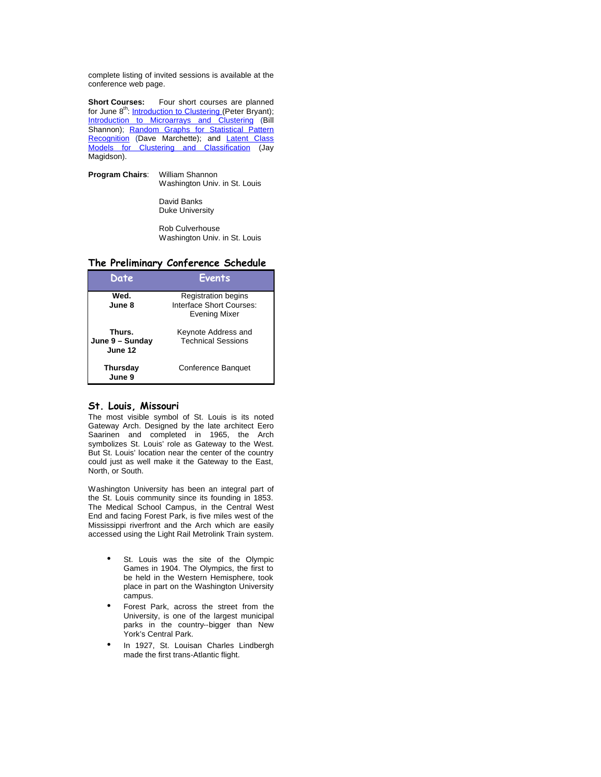complete listing of invited sessions is available at the conference web page.

**Short Courses:** Four short courses are planned for June 8<sup>th</sup>: *Introduction to Clustering (Peter Bryant)*; **Introduction to Microarrays and Clustering (Bill** Shannon); Random Graphs for Statistical Pattern Recognition (Dave Marchette); and Latent Class Models for Clustering and Classification (Jay Magidson).

**Program Chairs**: William Shannon Washington Univ. in St. Louis

> David Banks Duke University

Rob Culverhouse Washington Univ. in St. Louis

### **The Preliminary Conference Schedule**

| Date                                 | <b>Events</b>                                                           |
|--------------------------------------|-------------------------------------------------------------------------|
| Wed.<br>June 8                       | <b>Registration begins</b><br>Interface Short Courses:<br>Evening Mixer |
| Thurs.<br>June 9 - Sunday<br>June 12 | Keynote Address and<br><b>Technical Sessions</b>                        |
| Thursday<br>June 9                   | <b>Conference Banquet</b>                                               |

#### **St. Louis, Missouri**

The most visible symbol of St. Louis is its noted Gateway Arch. Designed by the late architect Eero Saarinen and completed in 1965, the Arch symbolizes St. Louis' role as Gateway to the West. But St. Louis' location near the center of the country could just as well make it the Gateway to the East, North, or South.

Washington University has been an integral part of the St. Louis community since its founding in 1853. The Medical School Campus, in the Central West End and facing Forest Park, is five miles west of the Mississippi riverfront and the Arch which are easily accessed using the Light Rail Metrolink Train system.

- St. Louis was the site of the Olympic Games in 1904. The Olympics, the first to be held in the Western Hemisphere, took place in part on the Washington University campus.
- Forest Park, across the street from the University, is one of the largest municipal parks in the country--bigger than New York's Central Park.
- In 1927, St. Louisan Charles Lindbergh made the first trans-Atlantic flight.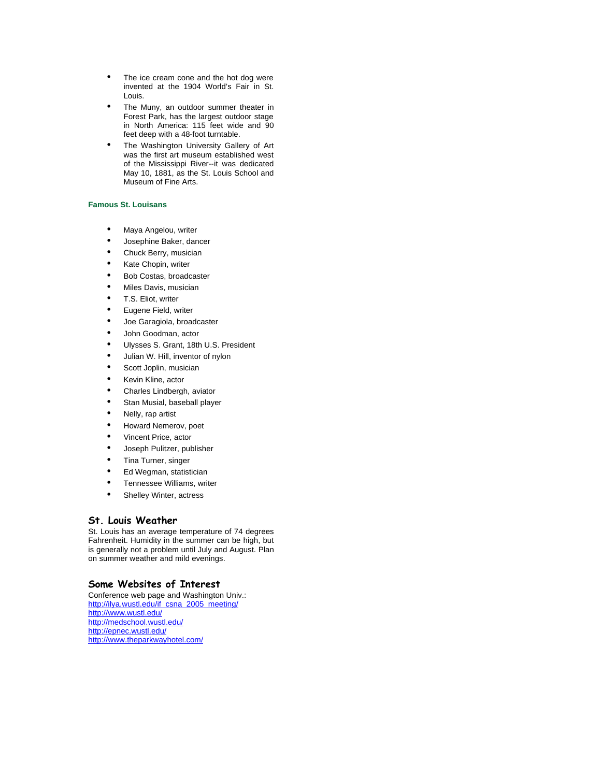- The ice cream cone and the hot dog were invented at the 1904 World's Fair in St. Louis.
- The Muny, an outdoor summer theater in Forest Park, has the largest outdoor stage in North America: 115 feet wide and 90 feet deep with a 48-foot turntable.
- The Washington University Gallery of Art was the first art museum established west of the Mississippi River--it was dedicated May 10, 1881, as the St. Louis School and Museum of Fine Arts.

#### **Famous St. Louisans**

- Maya Angelou, writer
- Josephine Baker, dancer
- Chuck Berry, musician
- Kate Chopin, writer
- Bob Costas, broadcaster
- Miles Davis, musician
- T.S. Eliot, writer
- Eugene Field, writer
- Joe Garagiola, broadcaster
- John Goodman, actor
- Ulysses S. Grant, 18th U.S. President
- Julian W. Hill, inventor of nylon
- Scott Joplin, musician
- Kevin Kline, actor
- Charles Lindbergh, aviator
- Stan Musial, baseball player
- Nelly, rap artist
- Howard Nemerov, poet
- Vincent Price, actor
- Joseph Pulitzer, publisher
- Tina Turner, singer
- Ed Wegman, statistician
- Tennessee Williams, writer
- Shelley Winter, actress

#### **St. Louis Weather**

St. Louis has an average temperature of 74 degrees Fahrenheit. Humidity in the summer can be high, but is generally not a problem until July and August. Plan on summer weather and mild evenings.

# **Some Websites of Interest**

Conference web page and Washington Univ.: http://ilya.wustl.edu/if\_csna\_2005\_meeting/ http://www.wustl.edu/ http://medschool.wustl.edu/ http://epnec.wustl.edu/ http://www.theparkwayhotel.com/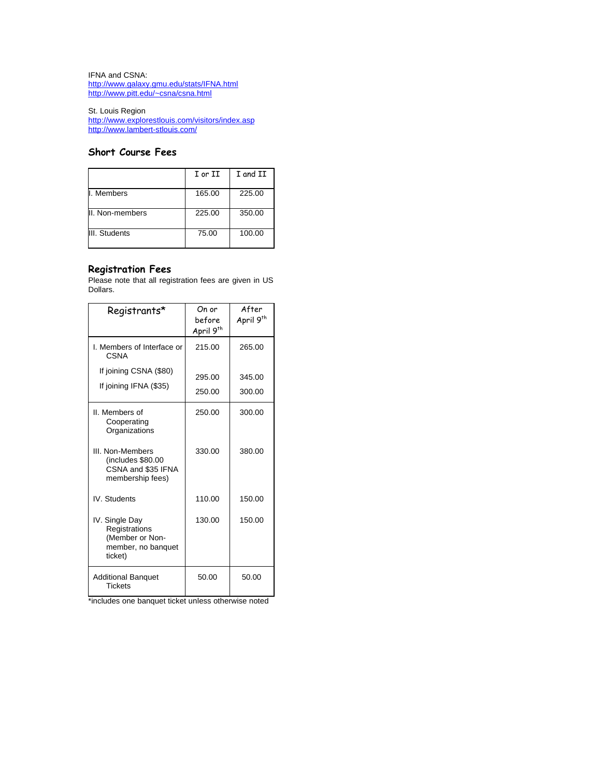IFNA and CSNA: http://www.galaxy.gmu.edu/stats/IFNA.html http://www.pitt.edu/~csna/csna.html

St. Louis Region http://www.explorestlouis.com/visitors/index.asp http://www.lambert-stlouis.com/

# **Short Course Fees**

|                 | I or II | I and II |
|-----------------|---------|----------|
| I. Members      | 165.00  | 225.00   |
| II. Non-members | 225.00  | 350.00   |
| III. Students   | 75.00   | 100.00   |

# **Registration Fees**

Please note that all registration fees are given in US Dollars.

| Registrants*                                                                        | On or<br>before<br>April 9 <sup>th</sup> | After<br>April 9 <sup>th</sup> |
|-------------------------------------------------------------------------------------|------------------------------------------|--------------------------------|
| I. Members of Interface or<br>CSNA                                                  | 215.00                                   | 265.00                         |
| If joining CSNA (\$80)<br>If joining IFNA (\$35)                                    | 295.00<br>250.00                         | 345.00<br>300.00               |
| II. Members of<br>Cooperating<br>Organizations                                      | 250.00                                   | 300.00                         |
| III. Non-Members<br>(includes \$80.00<br>CSNA and \$35 IFNA<br>membership fees)     | 330.00                                   | 380.00                         |
| IV. Students                                                                        | 110.00                                   | 150.00                         |
| IV. Single Day<br>Registrations<br>(Member or Non-<br>member, no banquet<br>ticket) | 130.00                                   | 150.00                         |
| <b>Additional Banquet</b><br><b>Tickets</b>                                         | 50.00                                    | 50.00                          |

\*includes one banquet ticket unless otherwise noted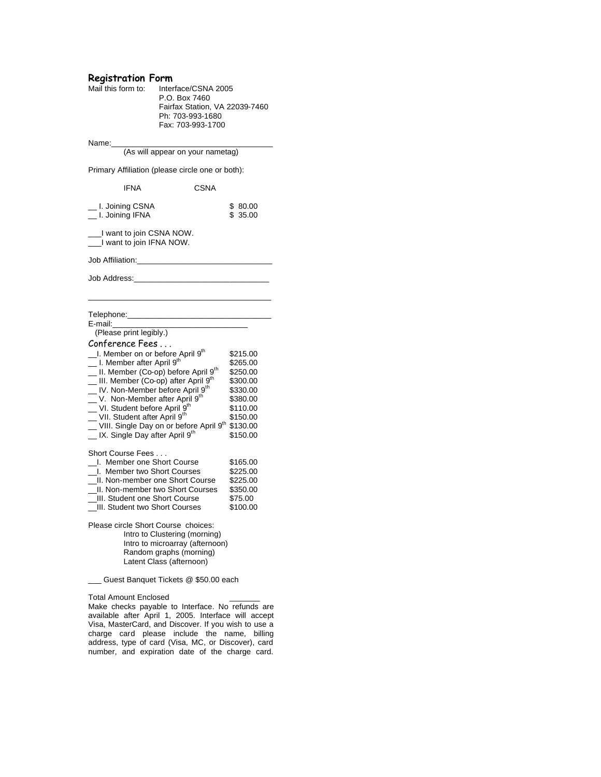# **Registration Form**

| Mail this form to: | Interface/CSNA 2005            |
|--------------------|--------------------------------|
|                    | P.O. Box 7460                  |
|                    | Fairfax Station, VA 22039-7460 |
|                    | Ph: 703-993-1680               |
|                    | Fax: 703-993-1700              |
|                    |                                |

Name:\_\_\_\_\_\_\_\_\_\_\_\_\_\_\_\_\_\_\_\_\_\_\_\_\_\_\_\_\_\_\_\_\_\_\_\_\_

(As will appear on your nametag)

Primary Affiliation (please circle one or both):

| IFNA                                                                                                                                                                                                                                                                                                                                                                                                                                                                                                           |                                                                                                                         | CSNA |                                                                                                                      |  |  |
|----------------------------------------------------------------------------------------------------------------------------------------------------------------------------------------------------------------------------------------------------------------------------------------------------------------------------------------------------------------------------------------------------------------------------------------------------------------------------------------------------------------|-------------------------------------------------------------------------------------------------------------------------|------|----------------------------------------------------------------------------------------------------------------------|--|--|
| _ I. Joining CSNA<br>_ I. Joining IFNA                                                                                                                                                                                                                                                                                                                                                                                                                                                                         |                                                                                                                         |      | \$ 80.00<br>\$35.00                                                                                                  |  |  |
| __I want to join CSNA NOW.<br>__I want to join IFNA NOW.                                                                                                                                                                                                                                                                                                                                                                                                                                                       |                                                                                                                         |      |                                                                                                                      |  |  |
| Job Affiliation:                                                                                                                                                                                                                                                                                                                                                                                                                                                                                               |                                                                                                                         |      |                                                                                                                      |  |  |
| Job Address:                                                                                                                                                                                                                                                                                                                                                                                                                                                                                                   |                                                                                                                         |      |                                                                                                                      |  |  |
| Telephone: Telephone:<br>E-mail:<br>(Please print legibly.)                                                                                                                                                                                                                                                                                                                                                                                                                                                    |                                                                                                                         |      |                                                                                                                      |  |  |
| Conference Fees<br>L. Member on or before April 9 <sup>th</sup><br>_ I. Member after April 9 <sup>th</sup><br>_ II. Member (Co-op) before April 9 <sup>th</sup><br>__ III. Member (Co-op) after April 9 <sup>th</sup><br>_ IV. Non-Member before April 9 <sup>th</sup><br>_ V. Non-Member after April 9 <sup>th</sup><br>__ VI. Student before April 9 <sup>th</sup><br>__ VII. Student after April 9 <sup>th</sup><br>UIII. Single Day on or before April 9th<br>_ IX. Single Day after April 9 <sup>th</sup> |                                                                                                                         |      | \$215.00<br>\$265.00<br>\$250.00<br>\$300.00<br>\$330.00<br>\$380.00<br>\$110.00<br>\$150.00<br>\$130.00<br>\$150.00 |  |  |
| Short Course Fees<br>I. Member one Short Course<br>_I. Member two Short Courses<br>_II. Non-member one Short Course<br>_II. Non-member two Short Courses<br>III. Student one Short Course<br>III. Student two Short Courses                                                                                                                                                                                                                                                                                    |                                                                                                                         |      | \$165.00<br>\$225.00<br>\$225.00<br>\$350.00<br>\$75.00<br>\$100.00                                                  |  |  |
| Please circle Short Course choices:                                                                                                                                                                                                                                                                                                                                                                                                                                                                            | Intro to Clustering (morning)<br>Intro to microarray (afternoon)<br>Random graphs (morning)<br>Latent Class (afternoon) |      |                                                                                                                      |  |  |

\_\_\_ Guest Banquet Tickets @ \$50.00 each

Total Amount Enclosed \_\_\_\_\_\_\_

Make checks payable to Interface. No refunds are available after April 1, 2005. Interface will accept Visa, MasterCard, and Discover. If you wish to use a charge card please include the name, billing address, type of card (Visa, MC, or Discover), card number, and expiration date of the charge card.